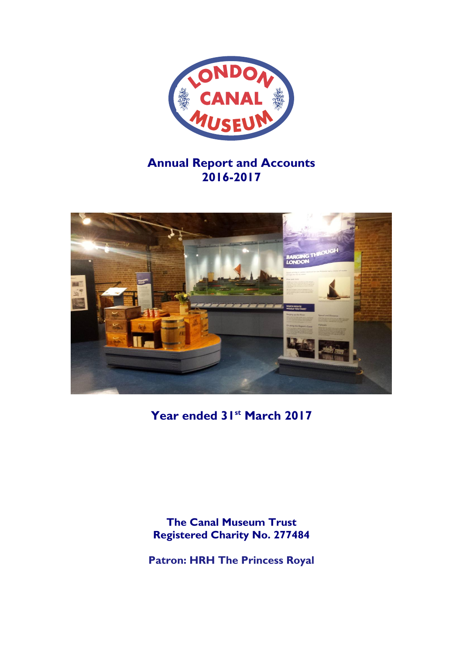

# **Annual Report and Accounts 2016-2017**



**Year ended 31st March 2017**

**The Canal Museum Trust Registered Charity No. 277484**

**Patron: HRH The Princess Royal**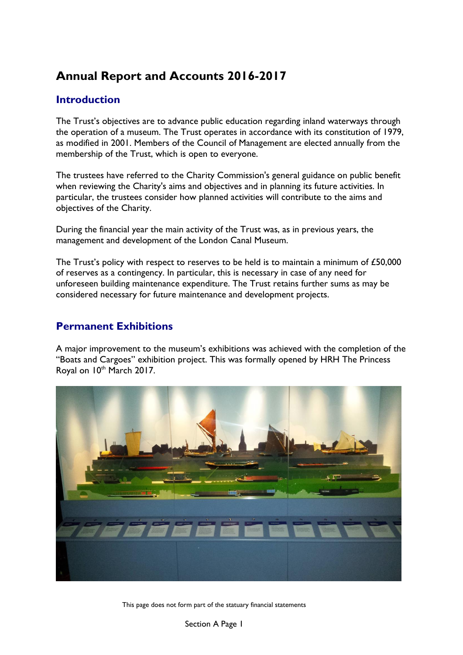# **Annual Report and Accounts 2016-2017**

# **Introduction**

The Trust's objectives are to advance public education regarding inland waterways through the operation of a museum. The Trust operates in accordance with its constitution of 1979, as modified in 2001. Members of the Council of Management are elected annually from the membership of the Trust, which is open to everyone.

The trustees have referred to the Charity Commission's general guidance on public benefit when reviewing the Charity's aims and objectives and in planning its future activities. In particular, the trustees consider how planned activities will contribute to the aims and objectives of the Charity.

During the financial year the main activity of the Trust was, as in previous years, the management and development of the London Canal Museum.

The Trust's policy with respect to reserves to be held is to maintain a minimum of £50,000 of reserves as a contingency. In particular, this is necessary in case of any need for unforeseen building maintenance expenditure. The Trust retains further sums as may be considered necessary for future maintenance and development projects.

# **Permanent Exhibitions**

A major improvement to the museum's exhibitions was achieved with the completion of the "Boats and Cargoes" exhibition project. This was formally opened by HRH The Princess Royal on 10<sup>th</sup> March 2017.

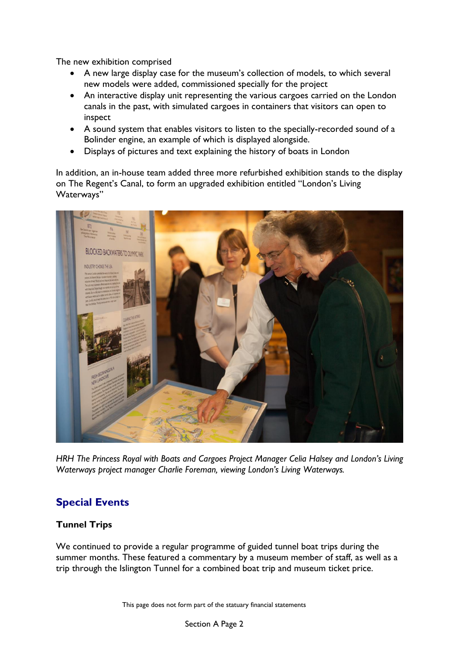The new exhibition comprised

- A new large display case for the museum's collection of models, to which several new models were added, commissioned specially for the project
- An interactive display unit representing the various cargoes carried on the London canals in the past, with simulated cargoes in containers that visitors can open to inspect
- A sound system that enables visitors to listen to the specially-recorded sound of a Bolinder engine, an example of which is displayed alongside.
- Displays of pictures and text explaining the history of boats in London

In addition, an in-house team added three more refurbished exhibition stands to the display on The Regent's Canal, to form an upgraded exhibition entitled "London's Living Waterways"



*HRH The Princess Royal with Boats and Cargoes Project Manager Celia Halsey and London's Living Waterways project manager Charlie Foreman, viewing London's Living Waterways.*

# **Special Events**

## **Tunnel Trips**

We continued to provide a regular programme of guided tunnel boat trips during the summer months. These featured a commentary by a museum member of staff, as well as a trip through the Islington Tunnel for a combined boat trip and museum ticket price.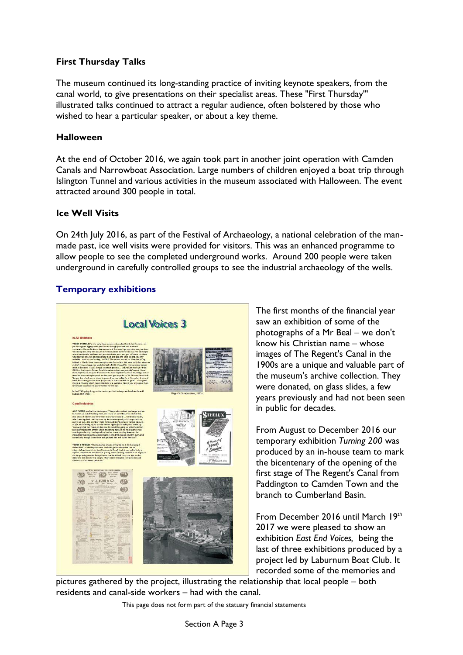## **First Thursday Talks**

The museum continued its long-standing practice of inviting keynote speakers, from the canal world, to give presentations on their specialist areas. These "First Thursday'" illustrated talks continued to attract a regular audience, often bolstered by those who wished to hear a particular speaker, or about a key theme.

## **Halloween**

At the end of October 2016, we again took part in another joint operation with Camden Canals and Narrowboat Association. Large numbers of children enjoyed a boat trip through Islington Tunnel and various activities in the museum associated with Halloween. The event attracted around 300 people in total.

## **Ice Well Visits**

On 24th July 2016, as part of the Festival of Archaeology, a national celebration of the manmade past, ice well visits were provided for visitors. This was an enhanced programme to allow people to see the completed underground works. Around 200 people were taken underground in carefully controlled groups to see the industrial archaeology of the wells.

## **Temporary exhibitions**



The first months of the financial year saw an exhibition of some of the photographs of a Mr Beal – we don't know his Christian name – whose images of The Regent's Canal in the 1900s are a unique and valuable part of the museum's archive collection. They were donated, on glass slides, a few years previously and had not been seen in public for decades.

From August to December 2016 our temporary exhibition *Turning 200* was produced by an in-house team to mark the bicentenary of the opening of the first stage of The Regent's Canal from Paddington to Camden Town and the branch to Cumberland Basin.

From December 2016 until March 19th 2017 we were pleased to show an exhibition *East End Voices,* being the last of three exhibitions produced by a project led by Laburnum Boat Club. It recorded some of the memories and

pictures gathered by the project, illustrating the relationship that local people – both residents and canal-side workers – had with the canal.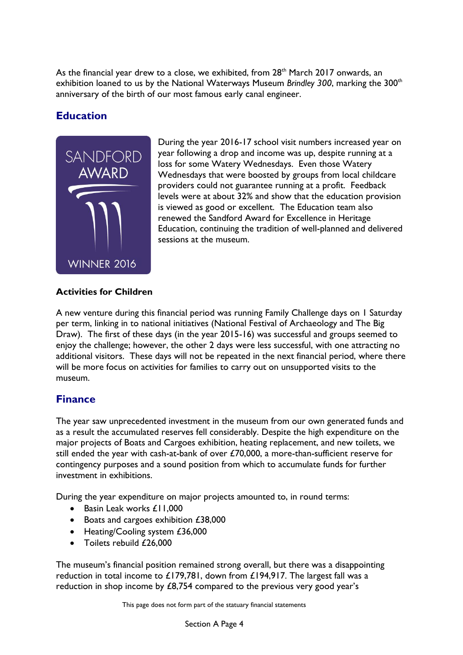As the financial year drew to a close, we exhibited, from 28<sup>th</sup> March 2017 onwards, an exhibition loaned to us by the National Waterways Museum *Brindley 300*, marking the 300<sup>th</sup> anniversary of the birth of our most famous early canal engineer.

# **Education**



During the year 2016-17 school visit numbers increased year on year following a drop and income was up, despite running at a loss for some Watery Wednesdays. Even those Watery Wednesdays that were boosted by groups from local childcare providers could not guarantee running at a profit. Feedback levels were at about 32% and show that the education provision is viewed as good or excellent. The Education team also renewed the Sandford Award for Excellence in Heritage Education, continuing the tradition of well-planned and delivered sessions at the museum.

## **Activities for Children**

A new venture during this financial period was running Family Challenge days on 1 Saturday per term, linking in to national initiatives (National Festival of Archaeology and The Big Draw). The first of these days (in the year 2015-16) was successful and groups seemed to enjoy the challenge; however, the other 2 days were less successful, with one attracting no additional visitors. These days will not be repeated in the next financial period, where there will be more focus on activities for families to carry out on unsupported visits to the museum.

# **Finance**

The year saw unprecedented investment in the museum from our own generated funds and as a result the accumulated reserves fell considerably. Despite the high expenditure on the major projects of Boats and Cargoes exhibition, heating replacement, and new toilets, we still ended the year with cash-at-bank of over £70,000, a more-than-sufficient reserve for contingency purposes and a sound position from which to accumulate funds for further investment in exhibitions.

During the year expenditure on major projects amounted to, in round terms:

- Basin Leak works £11,000
- Boats and cargoes exhibition £38,000
- Heating/Cooling system £36,000
- Toilets rebuild £26,000

The museum's financial position remained strong overall, but there was a disappointing reduction in total income to £179,781, down from £194,917. The largest fall was a reduction in shop income by £8,754 compared to the previous very good year's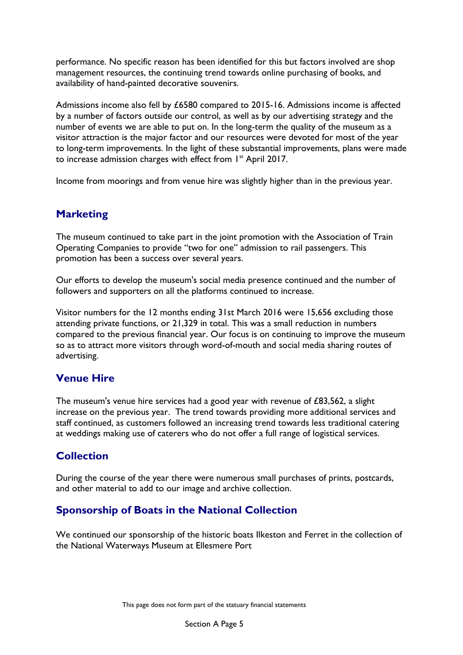performance. No specific reason has been identified for this but factors involved are shop management resources, the continuing trend towards online purchasing of books, and availability of hand-painted decorative souvenirs.

Admissions income also fell by £6580 compared to 2015-16. Admissions income is affected by a number of factors outside our control, as well as by our advertising strategy and the number of events we are able to put on. In the long-term the quality of the museum as a visitor attraction is the major factor and our resources were devoted for most of the year to long-term improvements. In the light of these substantial improvements, plans were made to increase admission charges with effect from 1<sup>st</sup> April 2017.

Income from moorings and from venue hire was slightly higher than in the previous year.

# **Marketing**

The museum continued to take part in the joint promotion with the Association of Train Operating Companies to provide "two for one" admission to rail passengers. This promotion has been a success over several years.

Our efforts to develop the museum's social media presence continued and the number of followers and supporters on all the platforms continued to increase.

Visitor numbers for the 12 months ending 31st March 2016 were 15,656 excluding those attending private functions, or 21,329 in total. This was a small reduction in numbers compared to the previous financial year. Our focus is on continuing to improve the museum so as to attract more visitors through word-of-mouth and social media sharing routes of advertising.

# **Venue Hire**

The museum's venue hire services had a good year with revenue of £83,562, a slight increase on the previous year. The trend towards providing more additional services and staff continued, as customers followed an increasing trend towards less traditional catering at weddings making use of caterers who do not offer a full range of logistical services.

# **Collection**

During the course of the year there were numerous small purchases of prints, postcards, and other material to add to our image and archive collection.

# **Sponsorship of Boats in the National Collection**

We continued our sponsorship of the historic boats Ilkeston and Ferret in the collection of the National Waterways Museum at Ellesmere Port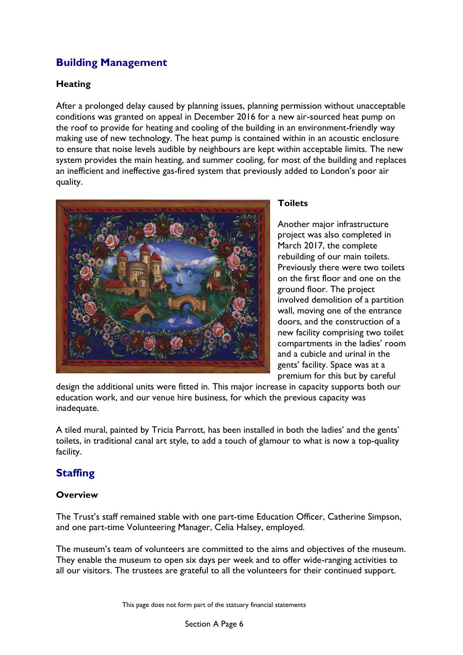# **Building Management**

## **Heating**

After a prolonged delay caused by planning issues, planning permission without unacceptable conditions was granted on appeal in December 2016 for a new air-sourced heat pump on the roof to provide for heating and cooling of the building in an environment-friendly way making use of new technology. The heat pump is contained within in an acoustic enclosure to ensure that noise levels audible by neighbours are kept within acceptable limits. The new system provides the main heating, and summer cooling, for most of the building and replaces an inefficient and ineffective gas-fired system that previously added to London's poor air quality.



## **Toilets**

Another major infrastructure project was also completed in March 2017, the complete rebuilding of our main toilets. Previously there were two toilets on the first floor and one on the ground floor. The project involved demolition of a partition wall, moving one of the entrance doors, and the construction of a new facility comprising two toilet compartments in the ladies' room and a cubicle and urinal in the gents' facility. Space was at a premium for this but by careful

design the additional units were fitted in. This major increase in capacity supports both our education work, and our venue hire business, for which the previous capacity was inadequate.

A tiled mural, painted by Tricia Parrott, has been installed in both the ladies' and the gents' toilets, in traditional canal art style, to add a touch of glamour to what is now a top-quality facility.

# **Staffing**

## **Overview**

The Trust's staff remained stable with one part-time Education Officer, Catherine Simpson, and one part-time Volunteering Manager, Celia Halsey, employed.

The museum's team of volunteers are committed to the aims and objectives of the museum. They enable the museum to open six days per week and to offer wide-ranging activities to all our visitors. The trustees are grateful to all the volunteers for their continued support.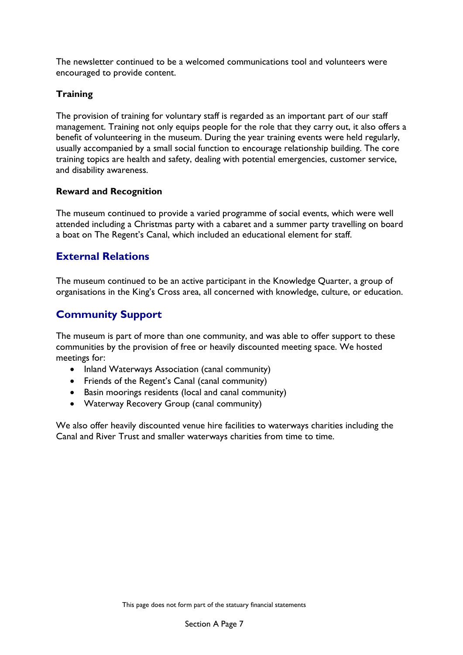The newsletter continued to be a welcomed communications tool and volunteers were encouraged to provide content.

## **Training**

The provision of training for voluntary staff is regarded as an important part of our staff management. Training not only equips people for the role that they carry out, it also offers a benefit of volunteering in the museum. During the year training events were held regularly, usually accompanied by a small social function to encourage relationship building. The core training topics are health and safety, dealing with potential emergencies, customer service, and disability awareness.

## **Reward and Recognition**

The museum continued to provide a varied programme of social events, which were well attended including a Christmas party with a cabaret and a summer party travelling on board a boat on The Regent's Canal, which included an educational element for staff.

## **External Relations**

The museum continued to be an active participant in the Knowledge Quarter, a group of organisations in the King's Cross area, all concerned with knowledge, culture, or education.

# **Community Support**

The museum is part of more than one community, and was able to offer support to these communities by the provision of free or heavily discounted meeting space. We hosted meetings for:

- Inland Waterways Association (canal community)
- Friends of the Regent's Canal (canal community)
- Basin moorings residents (local and canal community)
- Waterway Recovery Group (canal community)

We also offer heavily discounted venue hire facilities to waterways charities including the Canal and River Trust and smaller waterways charities from time to time.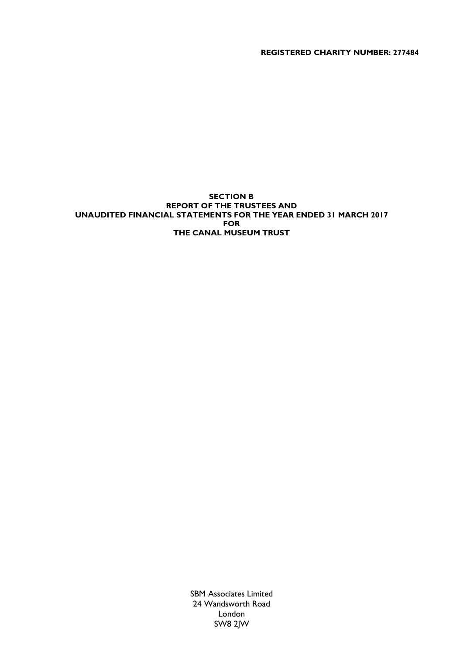**REGISTERED CHARITY NUMBER: 277484**

## **SECTION B REPORT OF THE TRUSTEES AND UNAUDITED FINANCIAL STATEMENTS FOR THE YEAR ENDED 31 MARCH 2017 FOR THE CANAL MUSEUM TRUST**

SBM Associates Limited 24 Wandsworth Road London SW8 2JW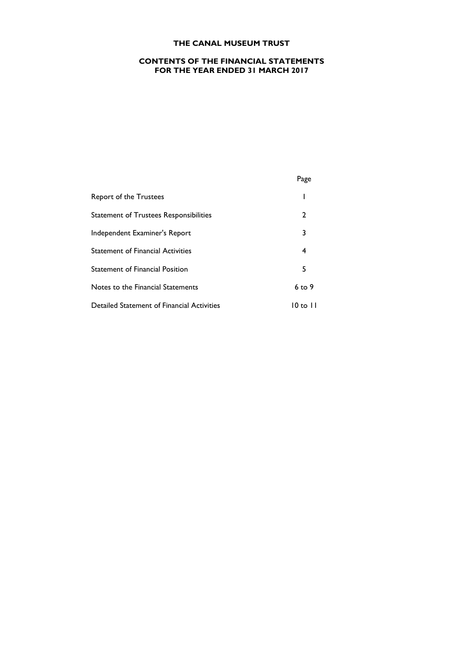## **CONTENTS OF THE FINANCIAL STATEMENTS FOR THE YEAR ENDED 31 MARCH 2017**

Page

| Report of the Trustees                     |          |
|--------------------------------------------|----------|
| Statement of Trustees Responsibilities     | 2        |
| Independent Examiner's Report              | 3        |
| <b>Statement of Financial Activities</b>   | 4        |
| <b>Statement of Financial Position</b>     | 5        |
| Notes to the Financial Statements          | $6$ to 9 |
| Detailed Statement of Financial Activities | $10$ to  |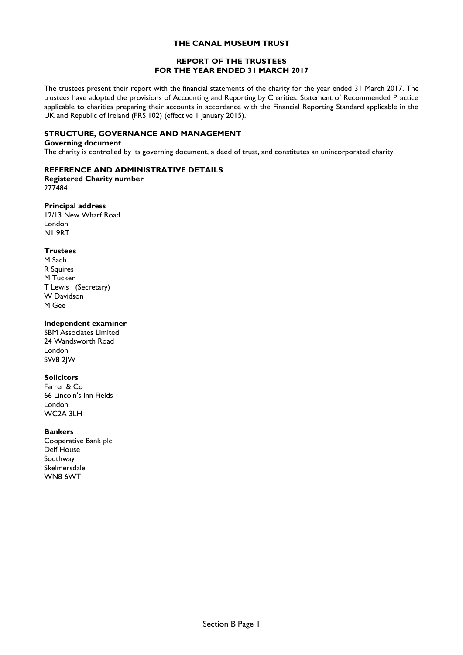### **REPORT OF THE TRUSTEES FOR THE YEAR ENDED 31 MARCH 2017**

The trustees present their report with the financial statements of the charity for the year ended 31 March 2017. The trustees have adopted the provisions of Accounting and Reporting by Charities: Statement of Recommended Practice applicable to charities preparing their accounts in accordance with the Financial Reporting Standard applicable in the UK and Republic of Ireland (FRS 102) (effective 1 January 2015).

## **STRUCTURE, GOVERNANCE AND MANAGEMENT**

## **Governing document**

The charity is controlled by its governing document, a deed of trust, and constitutes an unincorporated charity.

## **REFERENCE AND ADMINISTRATIVE DETAILS**

**Registered Charity number** 277484

## **Principal address**

12/13 New Wharf Road London N1 9RT

## **Trustees**

M Sach R Squires M Tucker T Lewis (Secretary) W Davidson M Gee

### **Independent examiner**

SBM Associates Limited 24 Wandsworth Road London SW8 2JW

### **Solicitors**

Farrer & Co 66 Lincoln's Inn Fields London WC2A 3LH

### **Bankers**

Cooperative Bank plc Delf House Southway Skelmersdale WN8 6WT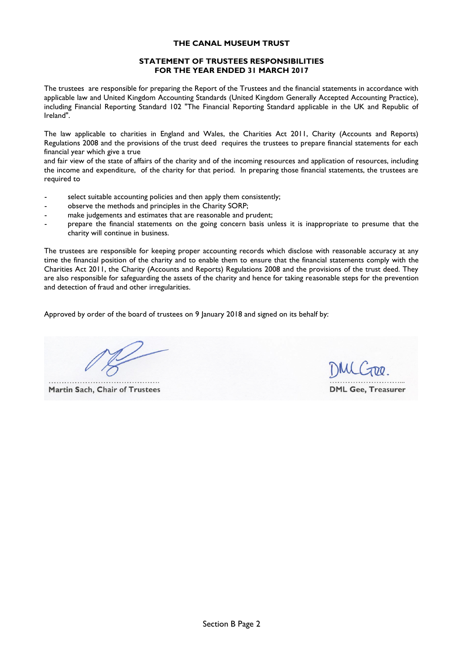### **STATEMENT OF TRUSTEES RESPONSIBILITIES FOR THE YEAR ENDED 31 MARCH 2017**

The trustees are responsible for preparing the Report of the Trustees and the financial statements in accordance with applicable law and United Kingdom Accounting Standards (United Kingdom Generally Accepted Accounting Practice), including Financial Reporting Standard 102 "The Financial Reporting Standard applicable in the UK and Republic of Ireland".

The law applicable to charities in England and Wales, the Charities Act 2011, Charity (Accounts and Reports) Regulations 2008 and the provisions of the trust deed requires the trustees to prepare financial statements for each financial year which give a true

and fair view of the state of affairs of the charity and of the incoming resources and application of resources, including the income and expenditure, of the charity for that period. In preparing those financial statements, the trustees are required to

- select suitable accounting policies and then apply them consistently;
- observe the methods and principles in the Charity SORP;
- make judgements and estimates that are reasonable and prudent;
- prepare the financial statements on the going concern basis unless it is inappropriate to presume that the charity will continue in business.

The trustees are responsible for keeping proper accounting records which disclose with reasonable accuracy at any time the financial position of the charity and to enable them to ensure that the financial statements comply with the Charities Act 2011, the Charity (Accounts and Reports) Regulations 2008 and the provisions of the trust deed. They are also responsible for safeguarding the assets of the charity and hence for taking reasonable steps for the prevention and detection of fraud and other irregularities.

Approved by order of the board of trustees on 9 January 2018 and signed on its behalf by:

**Martin Sach, Chair of Trustees** 

**DML Gee, Treasurer**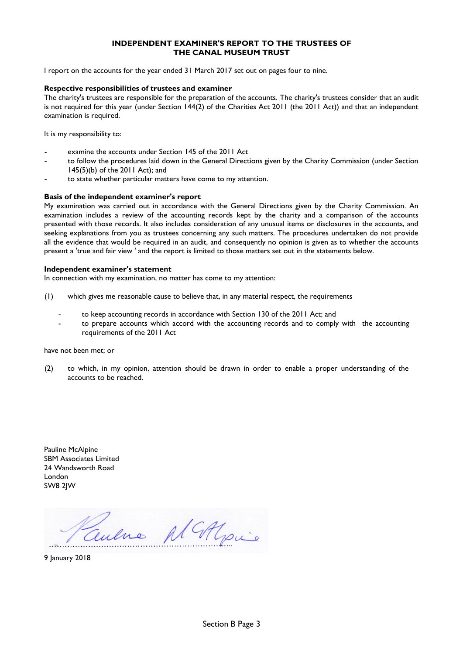### **INDEPENDENT EXAMINER'S REPORT TO THE TRUSTEES OF THE CANAL MUSEUM TRUST**

I report on the accounts for the year ended 31 March 2017 set out on pages four to nine.

### **Respective responsibilities of trustees and examiner**

The charity's trustees are responsible for the preparation of the accounts. The charity's trustees consider that an audit is not required for this year (under Section 144(2) of the Charities Act 2011 (the 2011 Act)) and that an independent examination is required.

It is my responsibility to:

- examine the accounts under Section 145 of the 2011 Act
- to follow the procedures laid down in the General Directions given by the Charity Commission (under Section 145(5)(b) of the 2011 Act); and
- to state whether particular matters have come to my attention.

#### **Basis of the independent examiner's report**

My examination was carried out in accordance with the General Directions given by the Charity Commission. An examination includes a review of the accounting records kept by the charity and a comparison of the accounts presented with those records. It also includes consideration of any unusual items or disclosures in the accounts, and seeking explanations from you as trustees concerning any such matters. The procedures undertaken do not provide all the evidence that would be required in an audit, and consequently no opinion is given as to whether the accounts present a 'true and fair view ' and the report is limited to those matters set out in the statements below.

### **Independent examiner's statement**

In connection with my examination, no matter has come to my attention:

- (1) which gives me reasonable cause to believe that, in any material respect, the requirements
	- to keep accounting records in accordance with Section 130 of the 2011 Act; and
	- to prepare accounts which accord with the accounting records and to comply with the accounting requirements of the 2011 Act

#### have not been met; or

(2) to which, in my opinion, attention should be drawn in order to enable a proper understanding of the accounts to be reached.

Pauline McAlpine SBM Associates Limited 24 Wandsworth Road London SW8 2JW

Centre Al Alpie

9 January 2018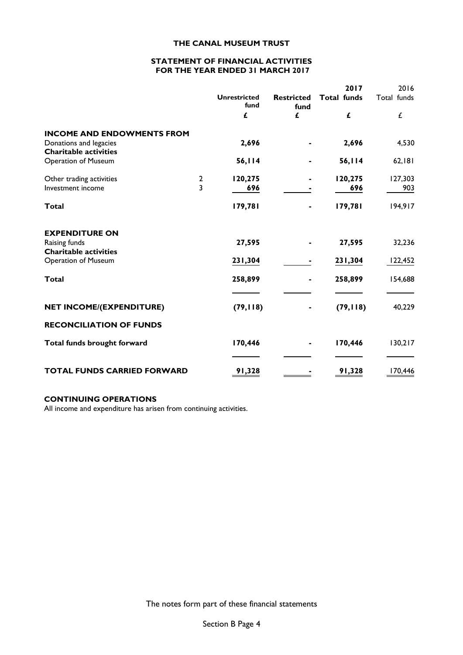### **STATEMENT OF FINANCIAL ACTIVITIES FOR THE YEAR ENDED 31 MARCH 2017**

|                                                                                             |               |                             |                           | 2017               | 2016           |
|---------------------------------------------------------------------------------------------|---------------|-----------------------------|---------------------------|--------------------|----------------|
|                                                                                             |               | <b>Unrestricted</b><br>fund | <b>Restricted</b><br>fund | <b>Total funds</b> | Total funds    |
|                                                                                             |               | £                           | £                         | £                  | Ĺ              |
| <b>INCOME AND ENDOWMENTS FROM</b><br>Donations and legacies<br><b>Charitable activities</b> |               | 2,696                       |                           | 2,696              | 4,530          |
| <b>Operation of Museum</b>                                                                  |               | 56,114                      |                           | 56,114             | 62,181         |
| Other trading activities<br>Investment income                                               | $\frac{2}{3}$ | 120,275<br>696              |                           | 120,275<br>696     | 127,303<br>903 |
| Total                                                                                       |               | 179,781                     |                           | 179,781            | 194,917        |
| <b>EXPENDITURE ON</b><br>Raising funds<br><b>Charitable activities</b>                      |               | 27,595                      |                           | 27,595             | 32,236         |
| <b>Operation of Museum</b>                                                                  |               | 231,304                     |                           | 231,304            | 122,452        |
| <b>Total</b>                                                                                |               | 258,899                     |                           | 258,899            | 154,688        |
| <b>NET INCOME/(EXPENDITURE)</b>                                                             |               | (79, 118)                   |                           | (79, 118)          | 40,229         |
| <b>RECONCILIATION OF FUNDS</b>                                                              |               |                             |                           |                    |                |
| Total funds brought forward                                                                 |               | 170,446                     |                           | 170,446            | 130,217        |
| <b>TOTAL FUNDS CARRIED FORWARD</b>                                                          |               | 91,328                      |                           | 91,328             | 170,446        |

## **CONTINUING OPERATIONS**

All income and expenditure has arisen from continuing activities.

The notes form part of these financial statements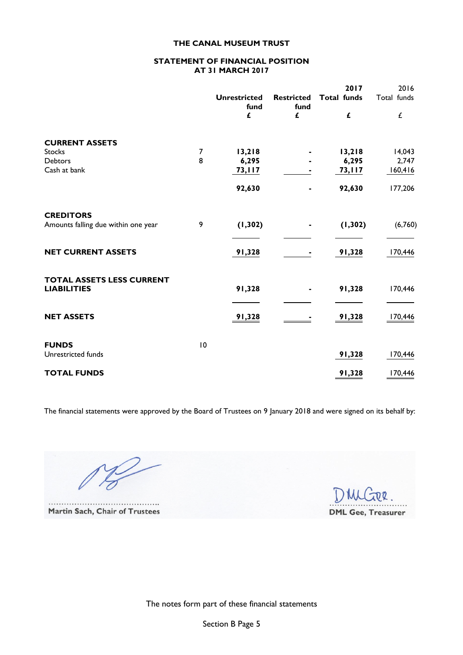### **STATEMENT OF FINANCIAL POSITION AT 31 MARCH 2017**

|                                     |    | <b>Unrestricted</b><br>fund<br>£ | <b>Restricted</b><br>fund<br>£ | 2017<br><b>Total funds</b><br>£ | 2016<br>Total funds<br>£ |
|-------------------------------------|----|----------------------------------|--------------------------------|---------------------------------|--------------------------|
|                                     |    |                                  |                                |                                 |                          |
| <b>CURRENT ASSETS</b>               |    |                                  |                                |                                 |                          |
| <b>Stocks</b>                       | 7  | 13,218                           |                                | 13,218                          | 14,043                   |
| Debtors                             | 8  | 6,295                            |                                | 6,295                           | 2,747                    |
| Cash at bank                        |    | 73, II <sub>7</sub>              |                                | 73,117                          | 160,416                  |
|                                     |    | 92,630                           | ä,                             | 92,630                          | 177,206                  |
| <b>CREDITORS</b>                    |    |                                  |                                |                                 |                          |
| Amounts falling due within one year | 9  | (1, 302)                         |                                | (1, 302)                        | (6,760)                  |
| <b>NET CURRENT ASSETS</b>           |    | 91,328                           |                                | 91,328                          | 170,446                  |
| <b>TOTAL ASSETS LESS CURRENT</b>    |    |                                  |                                |                                 |                          |
| <b>LIABILITIES</b>                  |    | 91,328                           |                                | 91,328                          | 170,446                  |
| <b>NET ASSETS</b>                   |    | 91,328                           |                                | 91,328                          | 170,446                  |
| <b>FUNDS</b>                        |    |                                  |                                |                                 |                          |
| Unrestricted funds                  | 10 |                                  |                                | 91,328                          | 170,446                  |
| <b>TOTAL FUNDS</b>                  |    |                                  |                                | 91,328                          | 170,446                  |

The financial statements were approved by the Board of Trustees on 9 January 2018 and were signed on its behalf by:

. . . . . . . . . . . . Martin Sach, Chair of Trustees

 $\dddot{\phantom{0}}$ 

**DQ DML Gee, Treasurer** 

The notes form part of these financial statements

Section B Page 5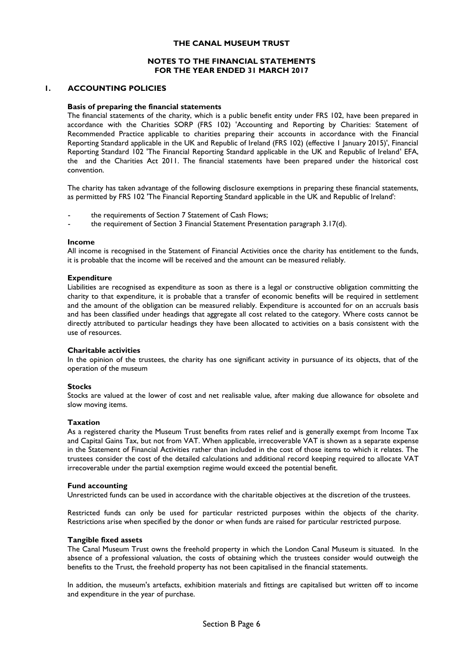### **NOTES TO THE FINANCIAL STATEMENTS FOR THE YEAR ENDED 31 MARCH 2017**

#### **1. ACCOUNTING POLICIES**

#### **Basis of preparing the financial statements**

The financial statements of the charity, which is a public benefit entity under FRS 102, have been prepared in accordance with the Charities SORP (FRS 102) 'Accounting and Reporting by Charities: Statement of Recommended Practice applicable to charities preparing their accounts in accordance with the Financial Reporting Standard applicable in the UK and Republic of Ireland (FRS 102) (effective 1 January 2015)', Financial Reporting Standard 102 'The Financial Reporting Standard applicable in the UK and Republic of Ireland' EFA, the and the Charities Act 2011. The financial statements have been prepared under the historical cost convention.

The charity has taken advantage of the following disclosure exemptions in preparing these financial statements, as permitted by FRS 102 'The Financial Reporting Standard applicable in the UK and Republic of Ireland':

- the requirements of Section 7 Statement of Cash Flows;
- the requirement of Section 3 Financial Statement Presentation paragraph 3.17(d).

#### **Income**

All income is recognised in the Statement of Financial Activities once the charity has entitlement to the funds, it is probable that the income will be received and the amount can be measured reliably.

#### **Expenditure**

Liabilities are recognised as expenditure as soon as there is a legal or constructive obligation committing the charity to that expenditure, it is probable that a transfer of economic benefits will be required in settlement and the amount of the obligation can be measured reliably. Expenditure is accounted for on an accruals basis and has been classified under headings that aggregate all cost related to the category. Where costs cannot be directly attributed to particular headings they have been allocated to activities on a basis consistent with the use of resources.

#### **Charitable activities**

In the opinion of the trustees, the charity has one significant activity in pursuance of its objects, that of the operation of the museum

#### **Stocks**

Stocks are valued at the lower of cost and net realisable value, after making due allowance for obsolete and slow moving items.

#### **Taxation**

As a registered charity the Museum Trust benefits from rates relief and is generally exempt from Income Tax and Capital Gains Tax, but not from VAT. When applicable, irrecoverable VAT is shown as a separate expense in the Statement of Financial Activities rather than included in the cost of those items to which it relates. The trustees consider the cost of the detailed calculations and additional record keeping required to allocate VAT irrecoverable under the partial exemption regime would exceed the potential benefit.

#### **Fund accounting**

Unrestricted funds can be used in accordance with the charitable objectives at the discretion of the trustees.

Restricted funds can only be used for particular restricted purposes within the objects of the charity. Restrictions arise when specified by the donor or when funds are raised for particular restricted purpose.

#### **Tangible fixed assets**

The Canal Museum Trust owns the freehold property in which the London Canal Museum is situated. In the absence of a professional valuation, the costs of obtaining which the trustees consider would outweigh the benefits to the Trust, the freehold property has not been capitalised in the financial statements.

In addition, the museum's artefacts, exhibition materials and fittings are capitalised but written off to income and expenditure in the year of purchase.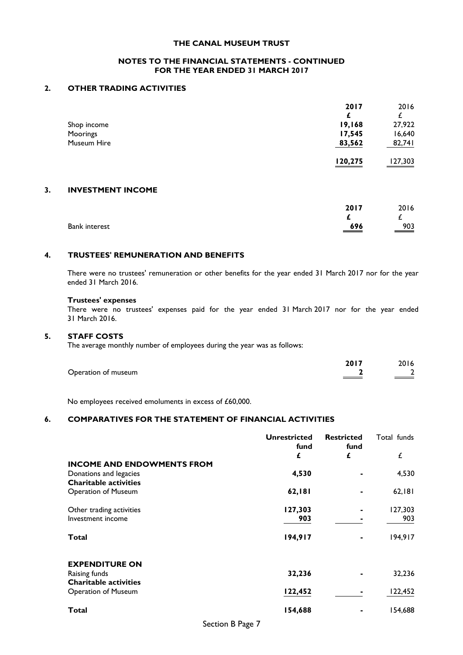### **NOTES TO THE FINANCIAL STATEMENTS - CONTINUED FOR THE YEAR ENDED 31 MARCH 2017**

## **2. OTHER TRADING ACTIVITIES**

|    |                          | 2017    | 2016    |
|----|--------------------------|---------|---------|
|    |                          |         | £       |
|    | Shop income              | 19,168  | 27,922  |
|    | Moorings                 | 17,545  | 16,640  |
|    | Museum Hire              | 83,562  | 82,741  |
|    |                          | 120,275 | 127,303 |
| 3. | <b>INVESTMENT INCOME</b> |         |         |
|    |                          | 2017    | 2016    |
|    |                          |         | £       |
|    | <b>Bank interest</b>     | 696     | 903     |
|    |                          |         |         |

## **4. TRUSTEES' REMUNERATION AND BENEFITS**

There were no trustees' remuneration or other benefits for the year ended 31 March 2017 nor for the year ended 31 March 2016.

#### **Trustees' expenses**

There were no trustees' expenses paid for the year ended 31 March 2017 nor for the year ended 31 March 2016.

## **5. STAFF COSTS**

The average monthly number of employees during the year was as follows:

|                     | 2017 | 2016 |
|---------------------|------|------|
| Operation of museum |      |      |

No employees received emoluments in excess of £60,000.

## **6. COMPARATIVES FOR THE STATEMENT OF FINANCIAL ACTIVITIES**

|                                               | <b>Unrestricted</b><br>fund | <b>Restricted</b><br>fund | Total funds |
|-----------------------------------------------|-----------------------------|---------------------------|-------------|
|                                               | £                           | £                         | £           |
| <b>INCOME AND ENDOWMENTS FROM</b>             |                             |                           |             |
| Donations and legacies                        | 4,530                       |                           | 4,530       |
| <b>Charitable activities</b>                  |                             |                           |             |
| <b>Operation of Museum</b>                    | 62,181                      |                           | 62,181      |
| Other trading activities                      | 127,303                     |                           | 127,303     |
| Investment income                             | 903                         |                           | 903         |
| Total                                         | 194,917                     |                           | 194,917     |
| <b>EXPENDITURE ON</b>                         |                             |                           |             |
| Raising funds<br><b>Charitable activities</b> | 32,236                      |                           | 32,236      |
| <b>Operation of Museum</b>                    | 122,452                     |                           | 122,452     |
| Total                                         | 154,688                     |                           | 154,688     |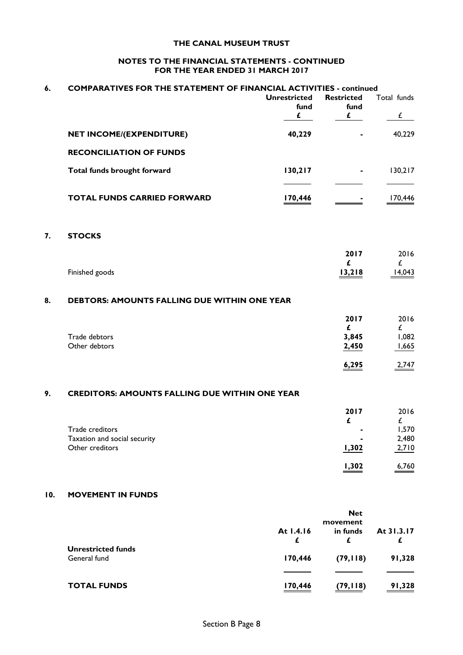## **NOTES TO THE FINANCIAL STATEMENTS - CONTINUED FOR THE YEAR ENDED 31 MARCH 2017**

| 6.  | <b>COMPARATIVES FOR THE STATEMENT OF FINANCIAL ACTIVITIES - continued</b> |                                  |                                           |                              |
|-----|---------------------------------------------------------------------------|----------------------------------|-------------------------------------------|------------------------------|
|     |                                                                           | <b>Unrestricted</b><br>fund<br>£ | <b>Restricted</b><br>fund<br>$\mathbf{f}$ | Total funds<br>$\mathcal{L}$ |
|     | NET INCOME/(EXPENDITURE)                                                  | 40,229                           |                                           | 40,229                       |
|     | <b>RECONCILIATION OF FUNDS</b>                                            |                                  |                                           |                              |
|     | Total funds brought forward                                               | 130,217                          |                                           | 130,217                      |
|     | <b>TOTAL FUNDS CARRIED FORWARD</b>                                        | 170,446                          |                                           | 170,446                      |
| 7.  | <b>STOCKS</b>                                                             |                                  |                                           |                              |
|     |                                                                           |                                  | 2017<br>£                                 | 2016<br>£                    |
|     | Finished goods                                                            |                                  | 13,218                                    | 14,043                       |
| 8.  | <b>DEBTORS: AMOUNTS FALLING DUE WITHIN ONE YEAR</b>                       |                                  |                                           |                              |
|     |                                                                           |                                  | 2017<br>£                                 | 2016<br>£                    |
|     | Trade debtors<br>Other debtors                                            |                                  | 3,845<br>2,450                            | 1,082<br>1,665               |
|     |                                                                           |                                  | 6,295                                     | 2,747                        |
| 9.  | <b>CREDITORS: AMOUNTS FALLING DUE WITHIN ONE YEAR</b>                     |                                  |                                           |                              |
|     |                                                                           |                                  | 2017                                      | 2016                         |
|     | Trade creditors                                                           |                                  | £                                         | £<br>1,570                   |
|     | Taxation and social security                                              |                                  |                                           | 2,480                        |
|     | Other creditors                                                           |                                  | 1,302                                     | 2,710                        |
|     |                                                                           |                                  | 1,302                                     | 6,760                        |
| 10. | <b>MOVEMENT IN FUNDS</b>                                                  |                                  |                                           |                              |

|                                           | <b>Net</b><br>movement |           |                 |
|-------------------------------------------|------------------------|-----------|-----------------|
|                                           | At 1.4.16<br>£         | in funds  | At 31.3.17<br>£ |
| <b>Unrestricted funds</b><br>General fund | 170,446                | (79, 118) | 91,328          |
|                                           |                        |           |                 |
| <b>TOTAL FUNDS</b>                        | 170,446                | (79, 118) | 91,328          |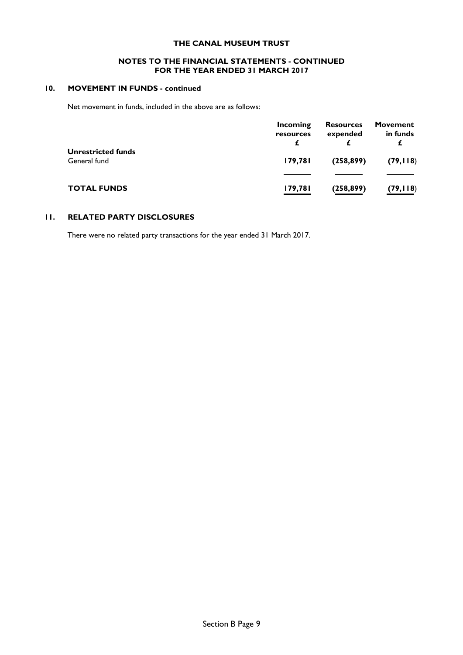### **NOTES TO THE FINANCIAL STATEMENTS - CONTINUED FOR THE YEAR ENDED 31 MARCH 2017**

## **10. MOVEMENT IN FUNDS - continued**

Net movement in funds, included in the above are as follows:

|                                           | Incoming<br>resources | <b>Resources</b><br>expended | <b>Movement</b><br>in funds |
|-------------------------------------------|-----------------------|------------------------------|-----------------------------|
| <b>Unrestricted funds</b><br>General fund | 179,781               | (258, 899)                   | (79, 118)                   |
|                                           |                       |                              |                             |
| <b>TOTAL FUNDS</b>                        | 179,781               | (258, 899)                   | (79,118)                    |

## **11. RELATED PARTY DISCLOSURES**

There were no related party transactions for the year ended 31 March 2017.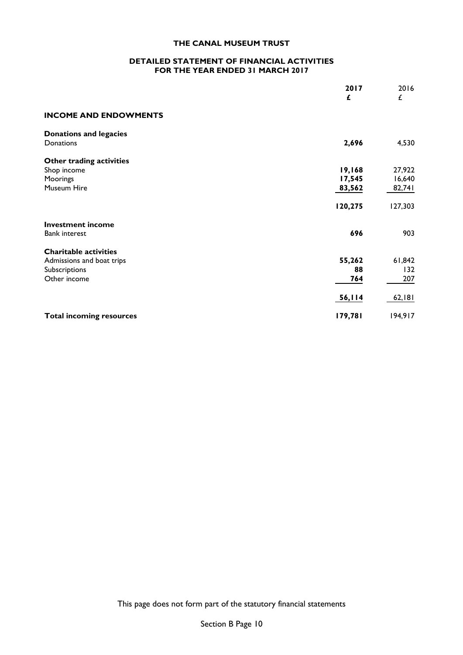## **DETAILED STATEMENT OF FINANCIAL ACTIVITIES FOR THE YEAR ENDED 31 MARCH 2017**

|                                                                                            | 2017<br>£                  | 2016<br>£                  |
|--------------------------------------------------------------------------------------------|----------------------------|----------------------------|
| <b>INCOME AND ENDOWMENTS</b>                                                               |                            |                            |
| <b>Donations and legacies</b><br>Donations                                                 | 2,696                      | 4,530                      |
| Other trading activities<br>Shop income<br>Moorings<br>Museum Hire                         | 19,168<br>17,545<br>83,562 | 27,922<br>16,640<br>82,741 |
|                                                                                            | 120,275                    | 127,303                    |
| <b>Investment income</b><br><b>Bank interest</b>                                           | 696                        | 903                        |
| <b>Charitable activities</b><br>Admissions and boat trips<br>Subscriptions<br>Other income | 55,262<br>88<br>764        | 61,842<br>132<br>207       |
|                                                                                            | 56,114                     | 62,181                     |
| <b>Total incoming resources</b>                                                            | 179,781                    | 194,917                    |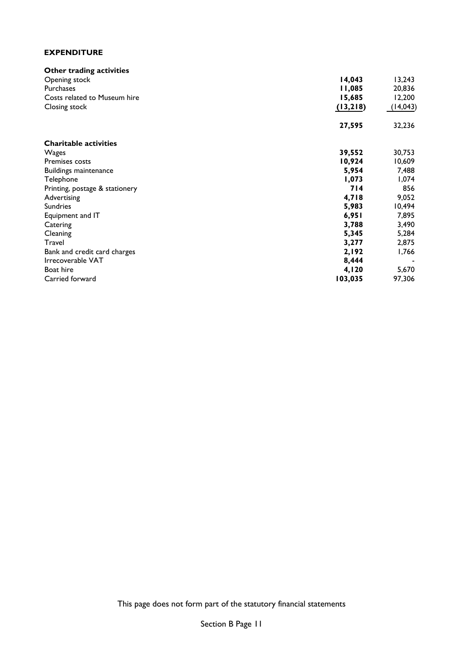## **EXPENDITURE**

| Other trading activities       |          |           |
|--------------------------------|----------|-----------|
| Opening stock                  | 14,043   | 13,243    |
| <b>Purchases</b>               | 11,085   | 20,836    |
| Costs related to Museum hire   | 15,685   | 12,200    |
| Closing stock                  | (13,218) | (14, 043) |
|                                | 27,595   | 32,236    |
| <b>Charitable activities</b>   |          |           |
| Wages                          | 39,552   | 30,753    |
| Premises costs                 | 10,924   | 10,609    |
| Buildings maintenance          | 5,954    | 7,488     |
| Telephone                      | 1,073    | 1,074     |
| Printing, postage & stationery | 714      | 856       |
| Advertising                    | 4,718    | 9,052     |
| <b>Sundries</b>                | 5,983    | 10,494    |
| Equipment and IT               | 6,951    | 7,895     |
| Catering                       | 3,788    | 3,490     |
| Cleaning                       | 5,345    | 5,284     |
| Travel                         | 3,277    | 2,875     |
| Bank and credit card charges   | 2,192    | 1,766     |
| Irrecoverable VAT              | 8,444    |           |
| Boat hire                      | 4,120    | 5,670     |
| Carried forward                | 103,035  | 97,306    |